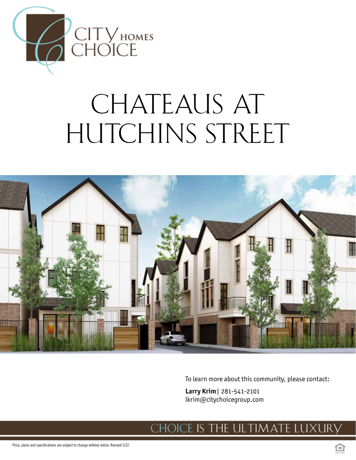

# CHATEAUS AT HUTCHINS STREET



To learn more about this community, please contact:

**Larry Krim**| 281-541-2101 lkrim@citychoicegroup.com

#### ce is the ultimate luxury . H(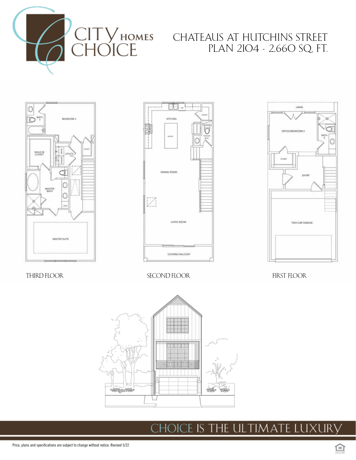

## CHATEAUS AT HUTCHINS STREET PLAN 2104 - 2,660 SQ. FT.







THIRD FLOOR SECOND FLOOR FIRST FLOOR



#### dice is the ultimate luxury CH(

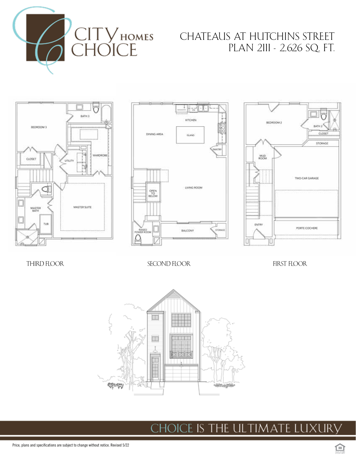

## CHATEAUS AT HUTCHINS STREET PLAN 2111 - 2,626 SQ. FT.







THIRD FLOOR GEORGIA SECOND FLOOR FIRST FLOOR FIRST FLOOR



CHOICE IS THE ULTIMATE LUXURY

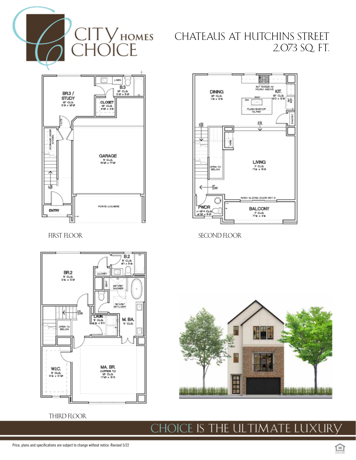$\supset E$ 

# CITY HOMES CHATEAUS AT HUTCHINS STREET 2,073 SQ. FT.



FIRST FLOOR



SECOND FLOOR



THIRD FLOOR



#### ce is the ultimate luxury CH( DK.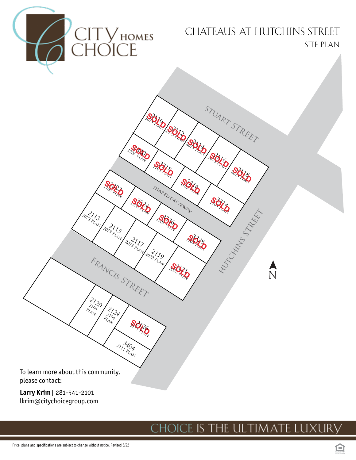

#### lkrim@citychoicegroup.com

# choice is the ultimate luxury